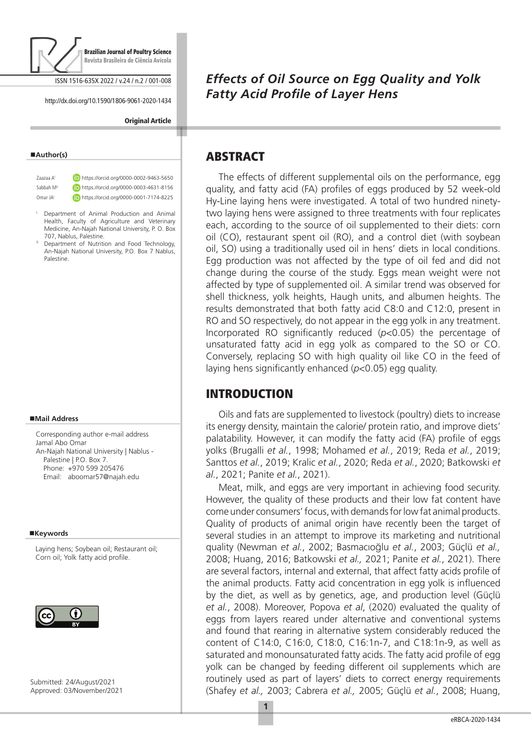

ISSN 1516-635X 2022 / v.24 / n.2 / 001-008

http://dx.doi.org/10.1590/1806-9061-2020-1434

**Original Article** 

#### **Author(s)**

Zaazaa AI https://orcid.org/0000-0002-9463-5650 Sabbah M<sup>II</sup> **iD** https://orcid.org/0000-0003-4631-8156 Omar JAI **(iD)** https://orcid.org/0000-0001-7174-8225

- <sup>I</sup> Department of Animal Production and Animal Health, Faculty of Agriculture and Veterinary Medicine, An-Najah National University, P. O. Box 707, Nablus, Palestine.
- Department of Nutrition and Food Technology, An-Najah National University, P.O. Box 7 Nablus, Palestine.

#### **Mail Address**

Corresponding author e-mail address Jamal Abo Omar An-Najah National University | Nablus - Palestine | P.O. Box 7. Phone: +970 599 205476 Email: aboomar57@najah.edu

#### **Keywords**

Laying hens; Soybean oil; Restaurant oil; Corn oil; Yolk fatty acid profile.



Submitted: 24/August/2021 Approved: 03/November/2021

# *Effects of Oil Source on Egg Quality and Yolk Fatty Acid Profile of Layer Hens*

### ABSTRACT

The effects of different supplemental oils on the performance, egg quality, and fatty acid (FA) profiles of eggs produced by 52 week-old Hy-Line laying hens were investigated. A total of two hundred ninetytwo laying hens were assigned to three treatments with four replicates each, according to the source of oil supplemented to their diets: corn oil (CO), restaurant spent oil (RO), and a control diet (with soybean oil, SO) using a traditionally used oil in hens' diets in local conditions. Egg production was not affected by the type of oil fed and did not change during the course of the study. Eggs mean weight were not affected by type of supplemented oil. A similar trend was observed for shell thickness, yolk heights, Haugh units, and albumen heights. The results demonstrated that both fatty acid C8:0 and C12:0, present in RO and SO respectively, do not appear in the egg yolk in any treatment. Incorporated RO significantly reduced (*p*<0.05) the percentage of unsaturated fatty acid in egg yolk as compared to the SO or CO. Conversely, replacing SO with high quality oil like CO in the feed of laying hens significantly enhanced (*p*<0.05) egg quality.

## INTRODUCTION

Oils and fats are supplemented to livestock (poultry) diets to increase its energy density, maintain the calorie/ protein ratio, and improve diets' palatability. However, it can modify the fatty acid (FA) profile of eggs yolks (Brugalli *et al.*, 1998; Mohamed *et al.*, 2019; Reda *et al.*, 2019; Santtos *et al.*, 2019; Kralic *et al.*, 2020; Reda *et al.*, 2020; Batkowski *et al.*, 2021; Panite *et al.*, 2021).

Meat, milk, and eggs are very important in achieving food security. However, the quality of these products and their low fat content have come under consumers' focus, with demands for low fat animal products. Quality of products of animal origin have recently been the target of several studies in an attempt to improve its marketing and nutritional quality (Newman *et al.*, 2002; Basmacıoğlu *et al.*, 2003; Güçlü *et al.,* 2008; Huang, 2016; Batkowski *et al.,* 2021; Panite *et al.*, 2021). There are several factors, internal and external, that affect fatty acids profile of the animal products. Fatty acid concentration in egg yolk is influenced by the diet, as well as by genetics, age, and production level (Güçlü *et al.*, 2008). Moreover, Popova *et al*, (2020) evaluated the quality of eggs from layers reared under alternative and conventional systems and found that rearing in alternative system considerably reduced the content of C14:0, C16:0, C18:0, C16:1n-7, and C18:1n-9, as well as saturated and monounsaturated fatty acids. The fatty acid profile of egg yolk can be changed by feeding different oil supplements which are routinely used as part of layers' diets to correct energy requirements (Shafey *et al.,* 2003; Cabrera *et al.,* 2005; Güçlü *et al.*, 2008; Huang,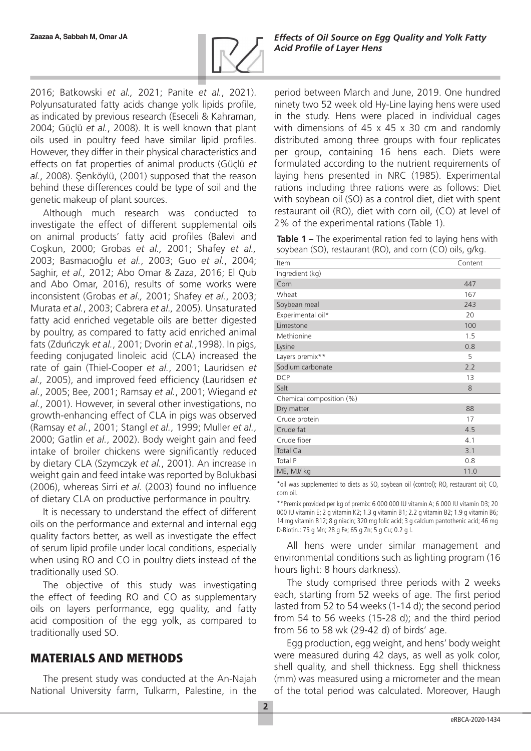

2016; Batkowski *et al.,* 2021; Panite *et al.*, 2021). Polyunsaturated fatty acids change yolk lipids profile, as indicated by previous research (Eseceli & Kahraman, 2004; Güçlü *et al.*, 2008). It is well known that plant oils used in poultry feed have similar lipid profiles. However, they differ in their physical characteristics and effects on fat properties of animal products (Güçlü *et al.*, 2008). Şenköylü, (2001) supposed that the reason behind these differences could be type of soil and the genetic makeup of plant sources.

Although much research was conducted to investigate the effect of different supplemental oils on animal products' fatty acid profiles (Balevi and Coşkun, 2000; Grobas *et al.,* 2001; Shafey *et al.,* 2003; Basmacıoğlu *et al.*, 2003; Guo *et al.*, 2004; Saghir, *et al.,* 2012; Abo Omar & Zaza, 2016; El Qub and Abo Omar, 2016), results of some works were inconsistent (Grobas *et al.,* 2001; Shafey *et al.*, 2003; Murata *et al.*, 2003; Cabrera *et al.,* 2005). Unsaturated fatty acid enriched vegetable oils are better digested by poultry, as compared to fatty acid enriched animal fats (Zduńczyk *et al.*, 2001; Dvorin *et al.*,1998). In pigs, feeding conjugated linoleic acid (CLA) increased the rate of gain (Thiel-Cooper *et al.*, 2001; Lauridsen *et al.,* 2005), and improved feed efficiency (Lauridsen *et al.*, 2005; Bee, 2001; Ramsay *et al.*, 2001; Wiegand *et al.*, 2001). However, in several other investigations, no growth-enhancing effect of CLA in pigs was observed (Ramsay *et al.*, 2001; Stangl *et al.*, 1999; Muller *et al.*, 2000; Gatlin *et al.*, 2002). Body weight gain and feed intake of broiler chickens were significantly reduced by dietary CLA (Szymczyk *et al.*, 2001). An increase in weight gain and feed intake was reported by Bolukbasi (2006), whereas Sirri *et al.* (2003) found no influence of dietary CLA on productive performance in poultry.

It is necessary to understand the effect of different oils on the performance and external and internal egg quality factors better, as well as investigate the effect of serum lipid profile under local conditions, especially when using RO and CO in poultry diets instead of the traditionally used SO.

The objective of this study was investigating the effect of feeding RO and CO as supplementary oils on layers performance, egg quality, and fatty acid composition of the egg yolk, as compared to traditionally used SO.

## MATERIALS AND METHODS

The present study was conducted at the An-Najah National University farm, Tulkarm, Palestine, in the period between March and June, 2019. One hundred ninety two 52 week old Hy-Line laying hens were used in the study. Hens were placed in individual cages with dimensions of 45 x 45 x 30 cm and randomly distributed among three groups with four replicates per group, containing 16 hens each. Diets were formulated according to the nutrient requirements of laying hens presented in NRC (1985). Experimental rations including three rations were as follows: Diet with soybean oil (SO) as a control diet, diet with spent restaurant oil (RO), diet with corn oil, (CO) at level of 2% of the experimental rations (Table 1).

**Table 1 –** The experimental ration fed to laying hens with soybean (SO), restaurant (RO), and corn (CO) oils, g/kg.

| Item                     | Content |
|--------------------------|---------|
| Ingredient (kg)          |         |
| Corn                     | 447     |
| Wheat                    | 167     |
| Soybean meal             | 243     |
| Experimental oil*        | 20      |
| Limestone                | 100     |
| Methionine               | 1.5     |
| Lysine                   | 0.8     |
| Layers premix**          | 5       |
| Sodium carbonate         | 2.2     |
| <b>DCP</b>               | 13      |
| Salt                     | 8       |
| Chemical composition (%) |         |
| Dry matter               | 88      |
| Crude protein            | 17      |
| Crude fat                | 4.5     |
| Crude fiber              | 4.1     |
| Total Ca                 | 3.1     |
| Total P                  | 0.8     |
| ME, MJ/ kg               | 11.0    |

\*oil was supplemented to diets as SO, soybean oil (control); RO, restaurant oil; CO, corn oil.

\*\*Premix provided per kg of premix: 6 000 000 IU vitamin A; 6 000 IU vitamin D3; 20 000 IU vitamin E; 2 g vitamin K2; 1.3 g vitamin B1; 2.2 g vitamin B2; 1.9 g vitamin B6; 14 mg vitamin B12; 8 g niacin; 320 mg folic acid; 3 g calcium pantothenic acid; 46 mg D-Biotin.: 75 g Mn; 28 g Fe; 65 g Zn; 5 g Cu; 0.2 g I.

All hens were under similar management and environmental conditions such as lighting program (16 hours light: 8 hours darkness).

The study comprised three periods with 2 weeks each, starting from 52 weeks of age. The first period lasted from 52 to 54 weeks (1-14 d); the second period from 54 to 56 weeks (15-28 d); and the third period from 56 to 58 wk (29-42 d) of birds' age.

Egg production, egg weight, and hens' body weight were measured during 42 days, as well as yolk color, shell quality, and shell thickness. Egg shell thickness (mm) was measured using a micrometer and the mean of the total period was calculated. Moreover, Haugh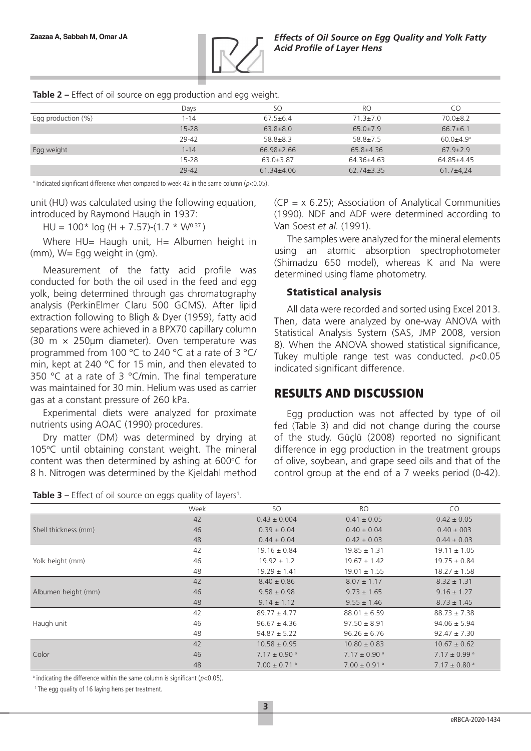

|  |  | Table 2 - Effect of oil source on egg production and egg weight. |  |
|--|--|------------------------------------------------------------------|--|
|  |  |                                                                  |  |

|                       | Days      | SΟ               | R <sub>O</sub>   | CО                        |
|-----------------------|-----------|------------------|------------------|---------------------------|
| Egg production $(\%)$ | 1-14      | $67.5 \pm 6.4$   | $71.3 \pm 7.0$   | $70.0 + 8.2$              |
|                       | $15 - 28$ | $63.8 \pm 8.0$   | $65.0 \pm 7.9$   | $66.7\pm 6.1$             |
|                       | 29-42     | $58.8 \pm 8.3$   | $58.8 \pm 7.5$   | $60.0 + 4.9$ <sup>a</sup> |
| Egg weight            | $1 - 14$  | $66.98 \pm 2.66$ | $65.8 + 4.36$    | $67.9 \pm 2.9$            |
|                       | $15 - 28$ | $63.0 + 3.87$    | $64.36+4.63$     | $64.85+4.45$              |
|                       | $29 - 42$ | $61.34 \pm 4.06$ | $62.74 \pm 3.35$ | $61.7+4.24$               |

 $^{\circ}$  Indicated significant difference when compared to week 42 in the same column (p<0.05).

unit (HU) was calculated using the following equation, introduced by Raymond Haugh in 1937:

 $HU = 100* log (H + 7.57)-(1.7 * W<sup>0.37</sup>)$ 

Where HU= Haugh unit, H= Albumen height in (mm), W= Egg weight in (gm).

Measurement of the fatty acid profile was conducted for both the oil used in the feed and egg yolk, being determined through gas chromatography analysis (PerkinElmer Claru 500 GCMS). After lipid extraction following to Bligh & Dyer (1959), fatty acid separations were achieved in a BPX70 capillary column (30 m × 250µm diameter). Oven temperature was programmed from 100 °C to 240 °C at a rate of 3 °C/ min, kept at 240 °C for 15 min, and then elevated to 350 °C at a rate of 3 °C/min. The final temperature was maintained for 30 min. Helium was used as carrier gas at a constant pressure of 260 kPa.

Experimental diets were analyzed for proximate nutrients using AOAC (1990) procedures.

Dry matter (DM) was determined by drying at 105°C until obtaining constant weight. The mineral content was then determined by ashing at  $600^{\circ}$ C for 8 h. Nitrogen was determined by the Kjeldahl method

| Table 3 - Effect of oil source on eggs quality of layers <sup>1</sup> . |  |  |  |
|-------------------------------------------------------------------------|--|--|--|
|-------------------------------------------------------------------------|--|--|--|

 $(CP = x 6.25)$ ; Association of Analytical Communities (1990). NDF and ADF were determined according to Van Soest *et al.* (1991).

The samples were analyzed for the mineral elements using an atomic absorption spectrophotometer (Shimadzu 650 model), whereas K and Na were determined using flame photometry.

#### Statistical analysis

All data were recorded and sorted using Excel 2013. Then, data were analyzed by one-way ANOVA with Statistical Analysis System (SAS, JMP 2008, version 8). When the ANOVA showed statistical significance, Tukey multiple range test was conducted. *p*<0.05 indicated significant difference.

#### RESULTS AND DISCUSSION

Egg production was not affected by type of oil fed (Table 3) and did not change during the course of the study. Güçlü (2008) reported no significant difference in egg production in the treatment groups of olive, soybean, and grape seed oils and that of the control group at the end of a 7 weeks period (0-42).

|                      | Week | <b>SO</b>                    | <b>RO</b>                    | CO.                          |
|----------------------|------|------------------------------|------------------------------|------------------------------|
|                      | 42   | $0.43 \pm 0.004$             | $0.41 \pm 0.05$              | $0.42 \pm 0.05$              |
| Shell thickness (mm) | 46   | $0.39 \pm 0.04$              | $0.40 \pm 0.04$              | $0.40 \pm 003$               |
|                      | 48   | $0.44 \pm 0.04$              | $0.42 \pm 0.03$              | $0.44 \pm 0.03$              |
|                      | 42   | $19.16 \pm 0.84$             | $19.85 \pm 1.31$             | $19.11 \pm 1.05$             |
| Yolk height (mm)     | 46   | $19.92 \pm 1.2$              | $19.67 \pm 1.42$             | $19.75 \pm 0.84$             |
|                      | 48   | $19.29 \pm 1.41$             | $19.01 \pm 1.55$             | $18.27 \pm 1.58$             |
|                      | 42   | $8.40 \pm 0.86$              | $8.07 \pm 1.17$              | $8.32 \pm 1.31$              |
| Albumen height (mm)  | 46   | $9.58 \pm 0.98$              | $9.73 \pm 1.65$              | $9.16 \pm 1.27$              |
|                      | 48   | $9.14 \pm 1.12$              | $9.55 \pm 1.46$              | $8.73 \pm 1.45$              |
|                      | 42   | $89.77 \pm 4.77$             | $88.01 \pm 6.59$             | $88.73 \pm 7.38$             |
| Haugh unit           | 46   | $96.67 \pm 4.36$             | $97.50 \pm 8.91$             | $94.06 \pm 5.94$             |
|                      | 48   | $94.87 \pm 5.22$             | $96.26 \pm 6.76$             | $92.47 \pm 7.30$             |
|                      | 42   | $10.58 \pm 0.95$             | $10.80 \pm 0.83$             | $10.67 \pm 0.62$             |
| Color                | 46   | $7.17 \pm 0.90$ <sup>a</sup> | $7.17 \pm 0.90$ <sup>a</sup> | $7.17 \pm 0.99$ <sup>a</sup> |
|                      | 48   | $7.00 \pm 0.71$ <sup>a</sup> | $7.00 \pm 0.91$ <sup>a</sup> | $7.17 \pm 0.80$ <sup>a</sup> |

 $\alpha$  indicating the difference within the same column is significant (p<0.05).

1 The egg quality of 16 laying hens per treatment.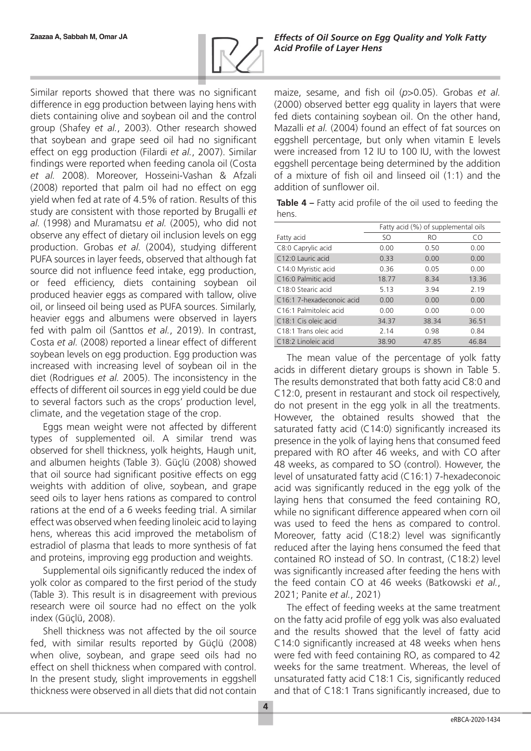

Similar reports showed that there was no significant difference in egg production between laying hens with diets containing olive and soybean oil and the control group (Shafey *et al.*, 2003). Other research showed that soybean and grape seed oil had no significant effect on egg production (Filardi *et al.*, 2007). Similar findings were reported when feeding canola oil (Costa *et al.* 2008). Moreover, Hosseini-Vashan & Afzali (2008) reported that palm oil had no effect on egg yield when fed at rate of 4.5% of ration. Results of this study are consistent with those reported by Brugalli *et al.* (1998) and Muramatsu *et al.* (2005), who did not observe any effect of dietary oil inclusion levels on egg production. Grobas *et al.* (2004), studying different PUFA sources in layer feeds, observed that although fat source did not influence feed intake, egg production, or feed efficiency, diets containing soybean oil produced heavier eggs as compared with tallow, olive oil, or linseed oil being used as PUFA sources. Similarly, heavier eggs and albumens were observed in layers fed with palm oil (Santtos *et al.*, 2019). In contrast, Costa *et al.* (2008) reported a linear effect of different soybean levels on egg production. Egg production was increased with increasing level of soybean oil in the diet (Rodrigues *et al.* 2005). The inconsistency in the effects of different oil sources in egg yield could be due to several factors such as the crops' production level, climate, and the vegetation stage of the crop.

Eggs mean weight were not affected by different types of supplemented oil. A similar trend was observed for shell thickness, yolk heights, Haugh unit, and albumen heights (Table 3). Güçlü (2008) showed that oil source had significant positive effects on egg weights with addition of olive, soybean, and grape seed oils to layer hens rations as compared to control rations at the end of a 6 weeks feeding trial. A similar effect was observed when feeding linoleic acid to laying hens, whereas this acid improved the metabolism of estradiol of plasma that leads to more synthesis of fat and proteins, improving egg production and weights.

Supplemental oils significantly reduced the index of yolk color as compared to the first period of the study (Table 3). This result is in disagreement with previous research were oil source had no effect on the yolk index (Güçlü, 2008).

Shell thickness was not affected by the oil source fed, with similar results reported by Güçlü (2008) when olive, soybean, and grape seed oils had no effect on shell thickness when compared with control. In the present study, slight improvements in eggshell thickness were observed in all diets that did not contain maize, sesame, and fish oil (*p*>0.05). Grobas *et al.* (2000) observed better egg quality in layers that were fed diets containing soybean oil. On the other hand, Mazalli *et al.* (2004) found an effect of fat sources on eggshell percentage, but only when vitamin E levels were increased from 12 IU to 100 IU, with the lowest eggshell percentage being determined by the addition of a mixture of fish oil and linseed oil (1:1) and the addition of sunflower oil.

**Table 4 –** Fatty acid profile of the oil used to feeding the hens.

|                                  |       | Fatty acid (%) of supplemental oils |       |
|----------------------------------|-------|-------------------------------------|-------|
| Fatty acid                       | SO.   | <b>RO</b>                           | CO    |
| C8:0 Caprylic acid               | 0.00  | 0.50                                | 0.00  |
| C12:0 Lauric acid                | 0.33  | 0.00                                | 0.00  |
| C14:0 Myristic acid              | 0.36  | 0.05                                | 0.00  |
| C <sub>16</sub> :0 Palmitic acid | 18.77 | 8.34                                | 13.36 |
| C18:0 Stearic acid               | 5.13  | 3.94                                | 2.19  |
| C16:1 7-hexadeconoic acid        | 0.00  | 0.00                                | 0.00  |
| C16:1 Palmitoleic acid           | 0.00  | 0.00                                | 0.00  |
| C <sub>18:1</sub> Cis oleic acid | 34.37 | 38.34                               | 36.51 |
| C18:1 Trans oleic acid           | 2.14  | 0.98                                | 0.84  |
| C <sub>18:2</sub> Linoleic acid  | 38.90 | 47.85                               | 46.84 |

The mean value of the percentage of yolk fatty acids in different dietary groups is shown in Table 5. The results demonstrated that both fatty acid C8:0 and C12:0, present in restaurant and stock oil respectively, do not present in the egg yolk in all the treatments. However, the obtained results showed that the saturated fatty acid (C14:0) significantly increased its presence in the yolk of laying hens that consumed feed prepared with RO after 46 weeks, and with CO after 48 weeks, as compared to SO (control). However, the level of unsaturated fatty acid (C16:1) 7-hexadeconoic acid was significantly reduced in the egg yolk of the laying hens that consumed the feed containing RO, while no significant difference appeared when corn oil was used to feed the hens as compared to control. Moreover, fatty acid (C18:2) level was significantly reduced after the laying hens consumed the feed that contained RO instead of SO. In contrast, (C18:2) level was significantly increased after feeding the hens with the feed contain CO at 46 weeks (Batkowski *et al.*, 2021; Panite *et al.*, 2021)

The effect of feeding weeks at the same treatment on the fatty acid profile of egg yolk was also evaluated and the results showed that the level of fatty acid C14:0 significantly increased at 48 weeks when hens were fed with feed containing RO, as compared to 42 weeks for the same treatment. Whereas, the level of unsaturated fatty acid C18:1 Cis, significantly reduced and that of C18:1 Trans significantly increased, due to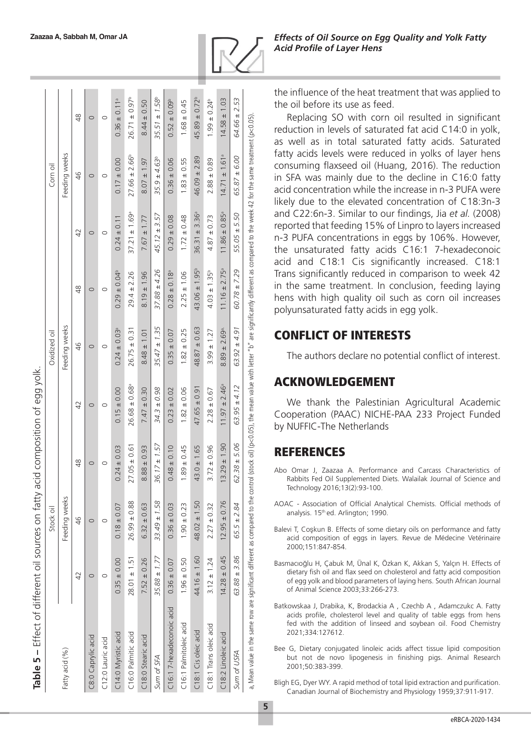| Table 5 - Effect of different oil sources on fatty acid composition of egg yolk                                                                                                                                |                  |                  |                  |                               |                              |                               |                               |                               |                              |
|----------------------------------------------------------------------------------------------------------------------------------------------------------------------------------------------------------------|------------------|------------------|------------------|-------------------------------|------------------------------|-------------------------------|-------------------------------|-------------------------------|------------------------------|
|                                                                                                                                                                                                                |                  | Stock oil        |                  |                               | Oxidized oil                 |                               |                               | Corn oil                      |                              |
| Fatty acid (%)                                                                                                                                                                                                 |                  | Feeding weeks    |                  |                               | Feeding weeks                |                               |                               | Feeding weeks                 |                              |
|                                                                                                                                                                                                                | 42               | 46               | $\frac{8}{4}$    | $\overline{4}$                | $\frac{6}{5}$                | 48                            | 42                            | 46                            | 48                           |
| C8:0 Caprylic acid                                                                                                                                                                                             | O                | 0                | O                | $\circ$                       | $\circ$                      | $\circ$                       | $\circ$                       | 0                             | $\circ$                      |
| C12:0 Lauric acid                                                                                                                                                                                              | O                | O                | O                | 0                             | O                            | O                             | $\circ$                       | 0                             | $\circ$                      |
| C14:0 Myristic acid                                                                                                                                                                                            | $0.35 \pm 0.00$  | $0.18 \pm 0.07$  | $0.24 \pm 0.03$  | $0.15 \pm 0.00$               | $0.24 \pm 0.03$ <sup>a</sup> | $0.29 \pm 0.04^b$             | $0.24 \pm 0.11$               | $0.17 \pm 0.00$               | $0.36 \pm 0.11$ <sup>a</sup> |
| C16:0 Palmitic acid                                                                                                                                                                                            | $28.01 \pm 1.51$ | $26.99 \pm 0.88$ | $27.05 \pm 0.61$ | $26.68 \pm 0.68$              | $26.75 \pm 0.3$              | $29.4 \pm 2.26$               | $37.21 \pm 1.69$ <sup>a</sup> | $27.66 \pm 2.66^b$            | $26.71 \pm 0.97^b$           |
| C18:0 Stearic acid                                                                                                                                                                                             | $7.52 \pm 0.26$  | $6.32 \pm 0.63$  | $8.88 \pm 0.93$  | $7.47 \pm 0.30$               | $8.48 \pm 1.01$              | $8.19 \pm 1.96$               | $7.67 \pm 1.77$               | $8.07 \pm 1.97$               | $8.44 \pm 0.50$              |
| Sum of SFA                                                                                                                                                                                                     | $35.88 \pm 1.77$ | $33.49 \pm 1.58$ | $36.17 \pm 1.57$ | $34.3 \pm 0.98$               | $35.47 \pm 1.35$             | $37.88 \pm 4.26$              | $45.12 \pm 3.57$              | $35.9 \pm 4.63^{b}$           | $35.51 \pm 1.58^{\circ}$     |
| C16:17-hexadeconoic acid                                                                                                                                                                                       | $0.36 \pm 0.07$  | $0.36 \pm 0.03$  | $0.48 \pm 0.10$  | $0.23 \pm 0.02$               | $0.35 \pm 0.07$              | $0.28 \pm 0.18$ <sup>a</sup>  | $0.29 \pm 0.08$               | $0.36 \pm 0.06$               | $0.52 \pm 0.09^{\circ}$      |
| C16:1 Palmitoleic acid                                                                                                                                                                                         | $1.96 \pm 0.50$  | $1.90 \pm 0.23$  | $1.89 \pm 0.45$  | $1.82 \pm 0.06$               | $1.82 \pm 0.25$              | $2.25 \pm 1.06$               | $1.72 \pm 0.48$               | $1.83 \pm 0.55$               | $1.68 \pm 0.45$              |
| C18:1 Cis oleic acid                                                                                                                                                                                           | $44.16 \pm 1.60$ | $48.02 \pm 1.50$ | $43.0 \pm 1.65$  | $47.65 \pm 0.91$              | $48.87 \pm 0.63$             | $43.06 \pm 1.95^{\circ}$      | $36.31 \pm 3.36^{\circ}$      | $46.09 \pm 2.89$              | $45.89 \pm 0.72^b$           |
| C18:1 Trans oleic acid                                                                                                                                                                                         | $3.12 \pm 1.24$  | $2.27 \pm 0.32$  | $3.72 \pm 0.96$  | $2.28 \pm 0.67$               | $3.99 \pm 1.27$              | $4.03 \pm 1.35^b$             | $4.87 \pm 0.73$               | $2.88 \pm 0.89$               | $1.99 \pm 0.24^b$            |
| C18:2 Linoleic acid                                                                                                                                                                                            | $14.28 \pm 0.45$ | $12.95 \pm 0.76$ | $13.29 \pm 1.90$ | $11.97 \pm 2.46$ <sup>a</sup> | $8.89 \pm 2.69^{\circ}$      | $11.16 \pm 2.75$ <sup>a</sup> | $11.86 \pm 0.85$ <sup>a</sup> | $14.71 \pm 1.61$ <sup>a</sup> | $14.58 \pm 1.03$             |
| Sum of USFA                                                                                                                                                                                                    | $63.88 \pm 3.86$ | $65.5 \pm 2.84$  | $62.38 \pm 5.06$ | $63.95 \pm 4.12$              | $63.92 \pm 4.91$             | $60.78 \pm 7.29$              | $55.05 \pm 5.50$              | $65.87 \pm 6.00$              | 64.66 ± 2.53                 |
| a, Mean value in the same row are significant different as compared to the control (stock oil) (p<0.05), the mean value with letter "b" are significantly different as compared to the same treatment (p<0.05) |                  |                  |                  |                               |                              |                               |                               |                               |                              |

the influence of the heat treatment that was applied to the oil before its use as feed.

Replacing SO with corn oil resulted in significant reduction in levels of saturated fat acid C14:0 in yolk, as well as in total saturated fatty acids. Saturated fatty acids levels were reduced in yolks of layer hens consuming flaxseed oil (Huang, 2016). The reduction in SFA was mainly due to the decline in C16:0 fatty acid concentration while the increase in n-3 PUFA were likely due to the elevated concentration of C18:3n-3 and C22:6n-3. Similar to our findings, Jia *et al.* (2008) reported that feeding 15% of Linpro to layers increased n-3 PUFA concentrations in eggs by 106%. However, the unsaturated fatty acids C16:1 7-hexadeconoic acid and C18:1 Cis significantly increased. C18:1 Trans significantly reduced in comparison to week 42 in the same treatment. In conclusion, feeding laying hens with high quality oil such as corn oil increases polyunsaturated fatty acids in egg yolk.

# CONFLICT OF INTERESTS

The authors declare no potential conflict of interest.

## ACKNOWLEDGEMENT

We thank the Palestinian Agricultural Academic Cooperation (PAAC) NICHE-PAA 233 Project Funded by NUFFIC-The Netherlands

# **REFERENCES**

- Abo Omar J, Zaazaa A. Performance and Carcass Characteristics of Rabbits Fed Oil Supplemented Diets. Walailak Journal of Science and Technology 2016;13(2):93-100.
- AOAC Association of Official Analytical Chemists. Official methods of analysis. 15<sup>th</sup> ed. Arlington; 1990.
- Balevi T, Co şkun B. Effects of some dietary oils on performance and fatty acid composition of eggs in layers. Revue de Médecine Vetérinaire 2000;151:847-854.
- Basmacıo ğlu H, Çabuk M, Ünal K, Özkan K, Akkan S, Yalçın H. Effects of dietary fish oil and flax seed on cholesterol and fatty acid composition of egg yolk and blood parameters of laying hens. South African Journal of Animal Science 2003;33:266-273.
- Batkowskaa J, Drabika, K, Brodackia A , Czechb A , Adamczukc A. Fatty acids profile, cholesterol level and quality of table eggs from hens fed with the addition of linseed and soybean oil. Food Chemistry 2021;334:127612.
- Bee G, Dietary conjugated linoleic acids affect tissue lipid composition but not de novo lipogenesis in finishing pigs. Animal Research 2001;50:383-399.
- Bligh EG, Dyer WY. A rapid method of total lipid extraction and purification. Canadian Journal of Biochemistry and Physiology 1959;37:911-917.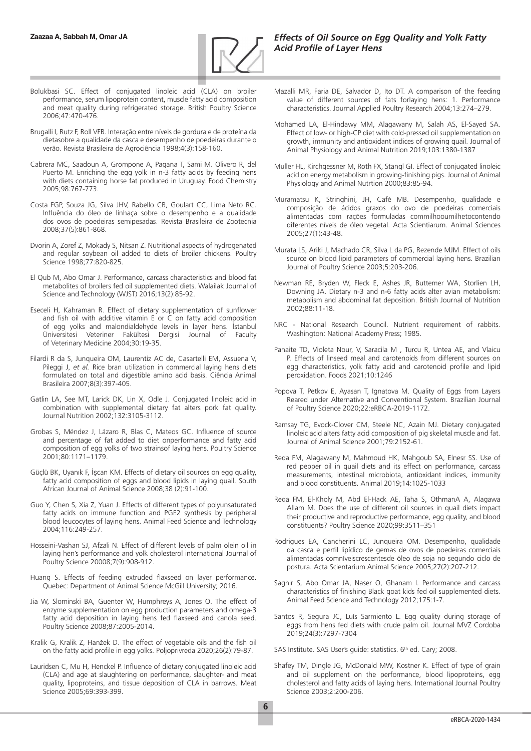

- Bolukbasi SC. Effect of conjugated linoleic acid (CLA) on broiler performance, serum lipoprotein content, muscle fatty acid composition and meat quality during refrigerated storage. British Poultry Science 2006;47:470-476.
- Brugalli I, Rutz F, Roll VFB. Interação entre níveis de gordura e de proteína da dietasobre a qualidade da casca e desempenho de poedeiras durante o verão. Revista Brasileira de Agrociência 1998;4(3):158-160.
- Cabrera MC, Saadoun A, Grompone A, Pagana T, Sami M. Olivero R, del Puerto M. Enriching the egg yolk in n-3 fatty acids by feeding hens with diets containing horse fat produced in Uruguay. Food Chemistry 2005;98:767-773.
- Costa FGP, Souza JG, Silva JHV, Rabello CB, Goulart CC, Lima Neto RC. Influência do óleo de linhaça sobre o desempenho e a qualidade dos ovos de poedeiras semipesadas. Revista Brasileira de Zootecnia 2008;37(5):861-868.
- Dvorin A, Zoref Z, Mokady S, Nitsan Z. Nutritional aspects of hydrogenated and regular soybean oil added to diets of broiler chickens. Poultry Science 1998;77:820-825.
- El Qub M, Abo Omar J. Performance, carcass characteristics and blood fat metabolites of broilers fed oil supplemented diets. Walailak Journal of Science and Technology (WJST) 2016;13(2):85-92.
- Eseceli H, Kahraman R. Effect of dietary supplementation of sunflower and fish oil with additive vitamin  $E$  or  $C$  on fatty acid composition of egg yolks and malondialdehyde levels in layer hens. İstanbul Üniversitesi Veteriner Fakültesi Dergisi Journal of Faculty of Veterinary Medicine 2004;30:19-35.
- Filardi R da S, Junqueira OM, Laurentiz AC de, Casartelli EM, Assuena V, Pileggi J, *et al.* Rice bran utilization in commercial laying hens diets formulated on total and digestible amino acid basis. Ciência Animal Brasileira 2007;8(3):397-405.
- Gatlin LA, See MT, Larick DK, Lin X, Odle J. Conjugated linoleic acid in combination with supplemental dietary fat alters pork fat quality. Journal Nutrition 2002;132:3105-3112.
- Grobas S, Méndez J, Lázaro R, Blas C, Mateos GC. Influence of source and percentage of fat added to diet onperformance and fatty acid composition of egg yolks of two strainsof laying hens. Poultry Science 2001;80:1171–1179.
- Güçlü BK, Uyanık F, İşcan KM. Effects of dietary oil sources on egg quality, fatty acid composition of eggs and blood lipids in laying quail. South African Journal of Animal Science 2008;38 (2):91-100.
- Guo Y, Chen S, Xia Z, Yuan J. Effects of different types of polyunsaturated fatty acids on immune function and PGE2 synthesis by peripheral blood leucocytes of laying hens. Animal Feed Science and Technology 2004;116:249-257.
- Hosseini-Vashan SJ, Afzali N. Effect of different levels of palm olein oil in laying hen's performance and yolk cholesterol international Journal of Poultry Science 20008;7(9):908-912.
- Huang S. Effects of feeding extruded flaxseed on layer performance. Quebec: Department of Animal Science McGill University; 2016.
- Jia W, Slominski BA, Guenter W, Humphreys A, Jones O. The effect of enzyme supplementation on egg production parameters and omega-3 fatty acid deposition in laying hens fed flaxseed and canola seed. Poultry Science 2008;87:2005-2014.
- Kralik G, Kralik Z, Hanžek D. The effect of vegetable oils and the fish oil on the fatty acid profile in egg yolks. Poljoprivreda 2020;26(2):79-87.
- Lauridsen C, Mu H, Henckel P. Influence of dietary conjugated linoleic acid (CLA) and age at slaughtering on performance, slaughter- and meat quality, lipoproteins, and tissue deposition of CLA in barrows. Meat Science 2005;69:393-399.
- Mazalli MR, Faria DE, Salvador D, Ito DT. A comparison of the feeding value of different sources of fats forlaying hens: 1. Performance characteristics. Journal Applied Poultry Research 2004;13:274–279.
- Mohamed LA, El-Hindawy MM, Alagawany M, Salah AS, El-Sayed SA. Effect of low- or high-CP diet with cold-pressed oil supplementation on growth, immunity and antioxidant indices of growing quail. Journal of Animal Physiology and Animal Nutrition 2019;103:1380-1387
- Muller HL, Kirchgessner M, Roth FX, Stangl GI. Effect of conjugated linoleic acid on energy metabolism in growing-finishing pigs. Journal of Animal Physiology and Animal Nutrtion 2000;83:85-94.
- Muramatsu K, Stringhini, JH, Café MB. Desempenho, qualidade e composição de ácidos graxos do ovo de poedeiras comerciais alimentadas com rações formuladas commilhooumilhetocontendo diferentes níveis de óleo vegetal. Acta Scientiarum. Animal Sciences 2005;27(1):43-48.
- Murata LS, Ariki J, Machado CR, Silva L da PG, Rezende MJM. Effect of oils source on blood lipid parameters of commercial laying hens. Brazilian Journal of Poultry Science 2003;5:203-206.
- Newman RE, Bryden W, Fleck E, Ashes JR, Buttemer WA, Storlien LH, Downing JA. Dietary n-3 and n-6 fatty acids alter avian metabolism: metabolism and abdominal fat deposition. British Journal of Nutrition 2002;88:11-18.
- NRC National Research Council. Nutrient requirement of rabbits. Washington: National Academy Press; 1985.
- Panaite TD, Violeta Nour, V, Saracila M , Turcu R, Untea AE, and Vlaicu P. Effects of linseed meal and carotenoids from different sources on egg characteristics, yolk fatty acid and carotenoid profile and lipid peroxidation. Foods 2021;10:1246
- Popova T, Petkov E, Ayasan T, Ignatova M. Quality of Eggs from Layers Reared under Alternative and Conventional System. Brazilian Journal of Poultry Science 2020;22:eRBCA-2019-1172.
- Ramsay TG, Evock-Clover CM, Steele NC, Azain MJ. Dietary conjugated linoleic acid alters fatty acid composition of pig skeletal muscle and fat. Journal of Animal Science 2001;79:2152-61.
- Reda FM, Alagawany M, Mahmoud HK, Mahgoub SA, Elnesr SS. Use of red pepper oil in quail diets and its effect on performance, carcass measurements, intestinal microbiota, antioxidant indices, immunity and blood constituents. Animal 2019;14:1025-1033
- Reda FM, El-Kholy M, Abd El-Hack AE, Taha S, OthmanA A, Alagawa Allam M. Does the use of different oil sources in quail diets impact their productive and reproductive performance, egg quality, and blood constituents? Poultry Science 2020;99:3511–351
- Rodrigues EA, Cancherini LC, Junqueira OM. Desempenho, qualidade da casca e perfil lipídico de gemas de ovos de poedeiras comerciais alimentadas comníveiscrescentesde óleo de soja no segundo ciclo de postura. Acta Scientarium Animal Science 2005;27(2):207-212.
- Saghir S, Abo Omar JA, Naser O, Ghanam I. Performance and carcass characteristics of finishing Black goat kids fed oil supplemented diets. Animal Feed Science and Technology 2012;175:1-7.
- Santos R, Segura JC, Luís Sarmiento L. Egg quality during storage of eggs from hens fed diets with crude palm oil. Journal MVZ Cordoba 2019;24(3):7297-7304
- SAS Institute. SAS User's guide: statistics. 6th ed. Cary; 2008.
- Shafey TM, Dingle JG, McDonald MW, Kostner K. Effect of type of grain and oil supplement on the performance, blood lipoproteins, egg cholesterol and fatty acids of laying hens. International Journal Poultry Science 2003;2:200-206.